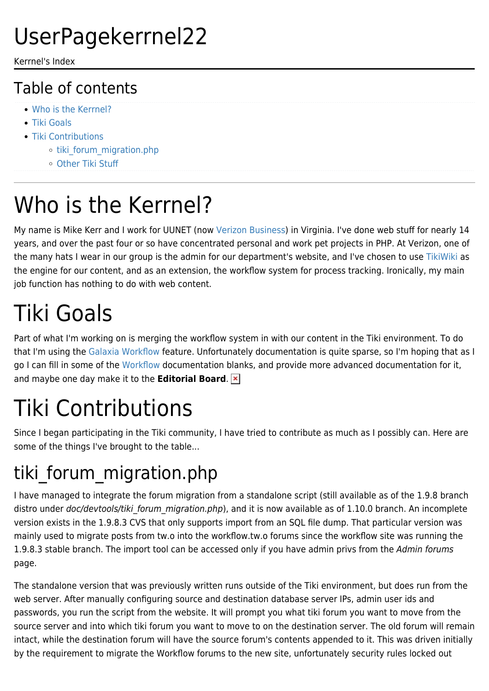#### UserPagekerrnel22

Kerrnel's Index

#### Table of contents

- [Who is the Kerrnel?](#page--1-0)
- [Tiki Goals](#page--1-0)
- [Tiki Contributions](#page--1-0)
	- o tiki forum migration.php
	- [Other Tiki Stuff](#page--1-0)

# Who is the Kerrnel?

My name is Mike Kerr and I work for UUNET (now [Verizon Business](http://www.verizon.com)) in Virginia. I've done web stuff for nearly 14 years, and over the past four or so have concentrated personal and work pet projects in PHP. At Verizon, one of the many hats I wear in our group is the admin for our department's website, and I've chosen to use [TikiWiki](https://tiki.org/Tiki) as the engine for our content, and as an extension, the workflow system for process tracking. Ironically, my main job function has nothing to do with web content.

### Tiki Goals

Part of what I'm working on is merging the workflow system in with our content in the Tiki environment. To do that I'm using the [Galaxia Workflow](http://workflow.tikwiki.org) feature. Unfortunately documentation is quite sparse, so I'm hoping that as I go I can fill in some of the [Workflow](http://doc.tiki.org/Workflow) documentation blanks, and provide more advanced documentation for it, and maybe one day make it to the **Editorial Board**.

# Tiki Contributions

Since I began participating in the Tiki community, I have tried to contribute as much as I possibly can. Here are some of the things I've brought to the table...

#### tiki forum migration.php

I have managed to integrate the forum migration from a standalone script (still available as of the 1.9.8 branch distro under doc/devtools/tiki forum migration.php), and it is now available as of 1.10.0 branch. An incomplete version exists in the 1.9.8.3 CVS that only supports import from an SQL file dump. That particular version was mainly used to migrate posts from tw.o into the workflow.tw.o forums since the workflow site was running the 1.9.8.3 stable branch. The import tool can be accessed only if you have admin privs from the Admin forums page.

The standalone version that was previously written runs outside of the Tiki environment, but does run from the web server. After manually configuring source and destination database server IPs, admin user ids and passwords, you run the script from the website. It will prompt you what tiki forum you want to move from the source server and into which tiki forum you want to move to on the destination server. The old forum will remain intact, while the destination forum will have the source forum's contents appended to it. This was driven initially by the requirement to migrate the Workflow forums to the new site, unfortunately security rules locked out